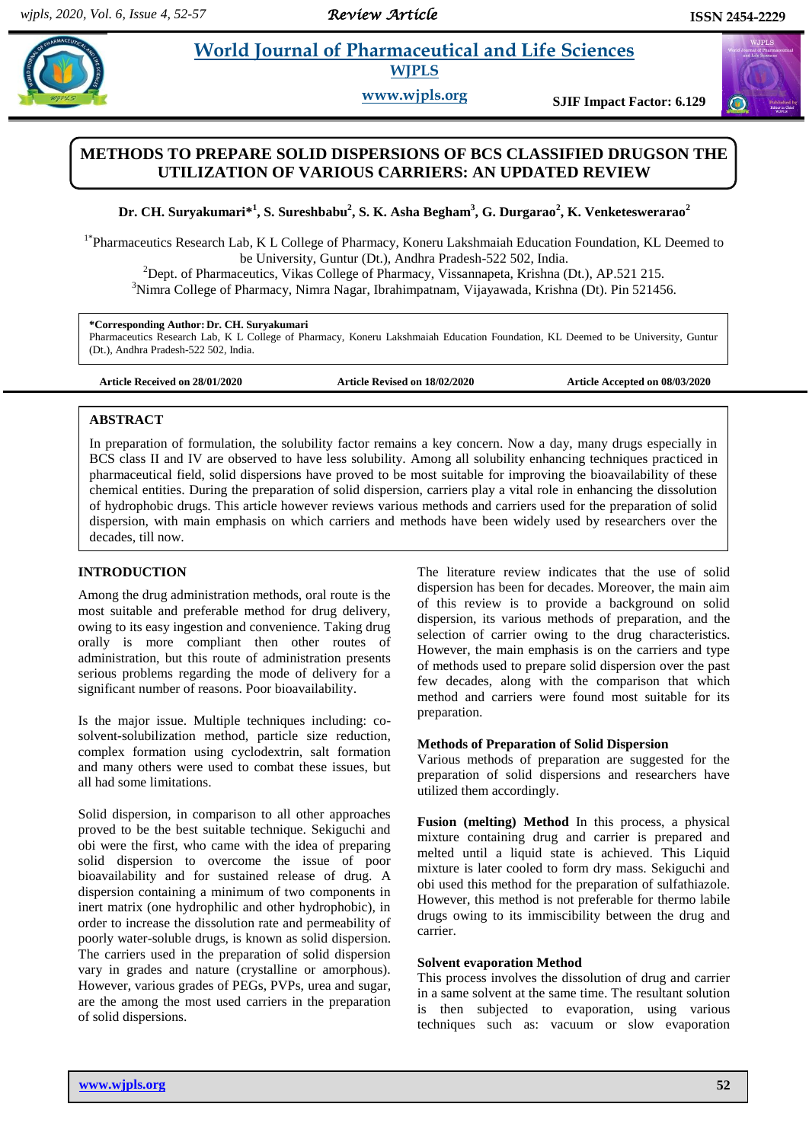#### *Review Article*

# **Example 3 Is al. 2018 World Journal of Pharmaceutical and Life Sciences WJPLS**

**www.wjpls.org SJIF Impact Factor: 6.129**

## **METHODS TO PREPARE SOLID DISPERSIONS OF BCS CLASSIFIED DRUGSON THE UTILIZATION OF VARIOUS CARRIERS: AN UPDATED REVIEW**

**Dr. CH. Suryakumari\* 1 , S. Sureshbabu<sup>2</sup> , S. K. Asha Begham<sup>3</sup> , G. Durgarao<sup>2</sup> , K. Venketeswerarao<sup>2</sup>**

<sup>1\*</sup>Pharmaceutics Research Lab, K L College of Pharmacy, Koneru Lakshmaiah Education Foundation, KL Deemed to be University, Guntur (Dt.), Andhra Pradesh-522 502, India.

<sup>2</sup>Dept. of Pharmaceutics, Vikas College of Pharmacy, Vissannapeta, Krishna (Dt.), AP.521 215. <sup>3</sup>Nimra College of Pharmacy, Nimra Nagar, Ibrahimpatnam, Vijayawada, Krishna (Dt). Pin 521456.

#### **\*Corresponding Author: Dr. CH. Suryakumari**

Pharmaceutics Research Lab, K L College of Pharmacy, Koneru Lakshmaiah Education Foundation, KL Deemed to be University, Guntur (Dt.), Andhra Pradesh-522 502, India.

**Article Received on 28/01/2020 Article Revised on 18/02/2020 Article Accepted on 08/03/2020**

#### **ABSTRACT**

In preparation of formulation, the solubility factor remains a key concern. Now a day, many drugs especially in BCS class II and IV are observed to have less solubility. Among all solubility enhancing techniques practiced in pharmaceutical field, solid dispersions have proved to be most suitable for improving the bioavailability of these chemical entities. During the preparation of solid dispersion, carriers play a vital role in enhancing the dissolution of hydrophobic drugs. This article however reviews various methods and carriers used for the preparation of solid dispersion, with main emphasis on which carriers and methods have been widely used by researchers over the decades, till now.

## **INTRODUCTION**

Among the drug administration methods, oral route is the most suitable and preferable method for drug delivery, owing to its easy ingestion and convenience. Taking drug orally is more compliant then other routes of administration, but this route of administration presents serious problems regarding the mode of delivery for a significant number of reasons. Poor bioavailability.

Is the major issue. Multiple techniques including: cosolvent-solubilization method, particle size reduction, complex formation using cyclodextrin, salt formation and many others were used to combat these issues, but all had some limitations.

Solid dispersion, in comparison to all other approaches proved to be the best suitable technique. Sekiguchi and obi were the first, who came with the idea of preparing solid dispersion to overcome the issue of poor bioavailability and for sustained release of drug. A dispersion containing a minimum of two components in inert matrix (one hydrophilic and other hydrophobic), in order to increase the dissolution rate and permeability of poorly water-soluble drugs, is known as solid dispersion. The carriers used in the preparation of solid dispersion vary in grades and nature (crystalline or amorphous). However, various grades of PEGs, PVPs, urea and sugar, are the among the most used carriers in the preparation of solid dispersions.

The literature review indicates that the use of solid dispersion has been for decades. Moreover, the main aim of this review is to provide a background on solid dispersion, its various methods of preparation, and the selection of carrier owing to the drug characteristics. However, the main emphasis is on the carriers and type of methods used to prepare solid dispersion over the past few decades, along with the comparison that which method and carriers were found most suitable for its preparation.

#### **Methods of Preparation of Solid Dispersion**

Various methods of preparation are suggested for the preparation of solid dispersions and researchers have utilized them accordingly.

**Fusion (melting) Method** In this process, a physical mixture containing drug and carrier is prepared and melted until a liquid state is achieved. This Liquid mixture is later cooled to form dry mass. Sekiguchi and obi used this method for the preparation of sulfathiazole. However, this method is not preferable for thermo labile drugs owing to its immiscibility between the drug and carrier.

#### **Solvent evaporation Method**

This process involves the dissolution of drug and carrier in a same solvent at the same time. The resultant solution is then subjected to evaporation, using various techniques such as: vacuum or slow evaporation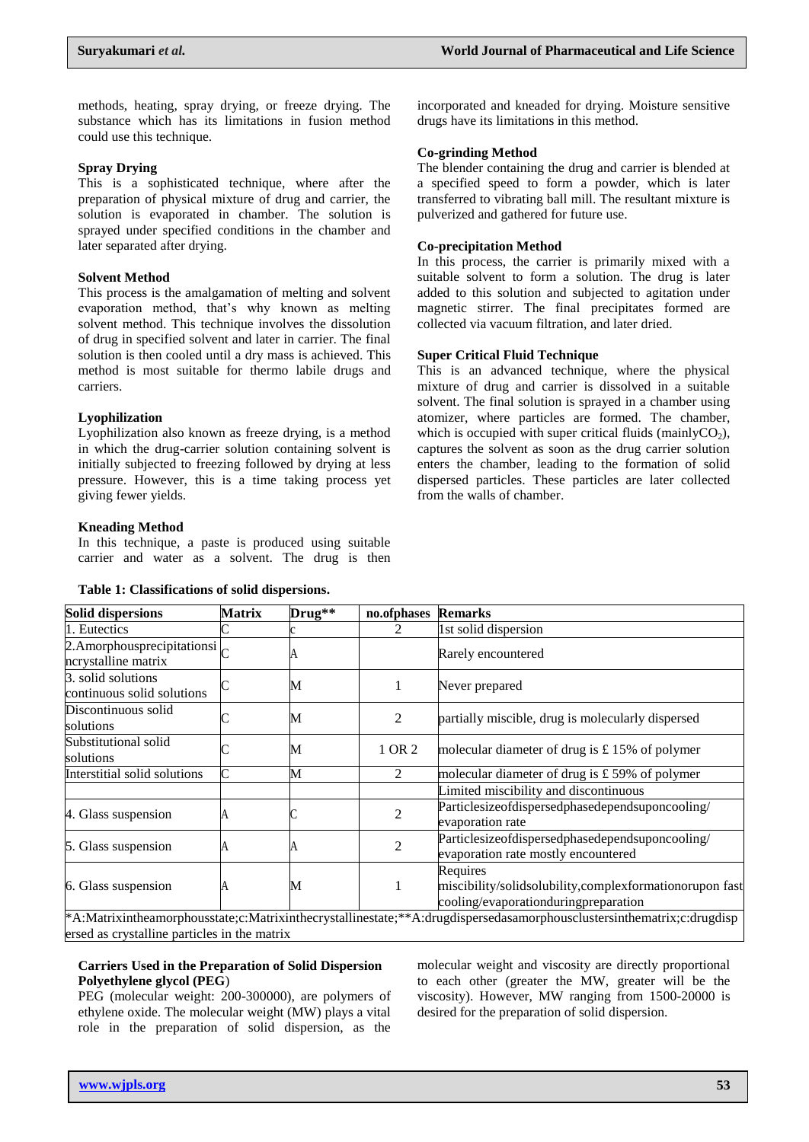methods, heating, spray drying, or freeze drying. The substance which has its limitations in fusion method could use this technique.

#### **Spray Drying**

This is a sophisticated technique, where after the preparation of physical mixture of drug and carrier, the solution is evaporated in chamber. The solution is sprayed under specified conditions in the chamber and later separated after drying.

#### **Solvent Method**

This process is the amalgamation of melting and solvent evaporation method, that's why known as melting solvent method. This technique involves the dissolution of drug in specified solvent and later in carrier. The final solution is then cooled until a dry mass is achieved. This method is most suitable for thermo labile drugs and carriers.

#### **Lyophilization**

Lyophilization also known as freeze drying, is a method in which the drug-carrier solution containing solvent is initially subjected to freezing followed by drying at less pressure. However, this is a time taking process yet giving fewer yields.

#### **Kneading Method**

In this technique, a paste is produced using suitable carrier and water as a solvent. The drug is then

#### **Table 1: Classifications of solid dispersions.**

incorporated and kneaded for drying. Moisture sensitive drugs have its limitations in this method.

#### **Co-grinding Method**

The blender containing the drug and carrier is blended at a specified speed to form a powder, which is later transferred to vibrating ball mill. The resultant mixture is pulverized and gathered for future use.

#### **Co-precipitation Method**

In this process, the carrier is primarily mixed with a suitable solvent to form a solution. The drug is later added to this solution and subjected to agitation under magnetic stirrer. The final precipitates formed are collected via vacuum filtration, and later dried.

## **Super Critical Fluid Technique**

This is an advanced technique, where the physical mixture of drug and carrier is dissolved in a suitable solvent. The final solution is sprayed in a chamber using atomizer, where particles are formed. The chamber, which is occupied with super critical fluids (mainlyCO<sub>2</sub>), captures the solvent as soon as the drug carrier solution enters the chamber, leading to the formation of solid dispersed particles. These particles are later collected from the walls of chamber.

| <b>Solid dispersions</b>                                  | <b>Matrix</b> | $Drug**$ | no.ofphases                                      | <b>Remarks</b>                                                                                                                                                                                                                                              |
|-----------------------------------------------------------|---------------|----------|--------------------------------------------------|-------------------------------------------------------------------------------------------------------------------------------------------------------------------------------------------------------------------------------------------------------------|
| 1. Eutectics                                              |               |          |                                                  | 1st solid dispersion                                                                                                                                                                                                                                        |
| 2. Amorphous precipitations $\sim$<br>ncrystalline matrix |               |          |                                                  | Rarely encountered                                                                                                                                                                                                                                          |
| 3. solid solutions<br>continuous solid solutions          |               | М        |                                                  | Never prepared                                                                                                                                                                                                                                              |
| Discontinuous solid<br>solutions                          |               | М        | 2                                                | partially miscible, drug is molecularly dispersed                                                                                                                                                                                                           |
| Substitutional solid<br>solutions                         |               | М        | 1 OR 2                                           | molecular diameter of drug is $£ 15\%$ of polymer                                                                                                                                                                                                           |
| Interstitial solid solutions                              | М<br>2        |          | molecular diameter of drug is $£$ 59% of polymer |                                                                                                                                                                                                                                                             |
|                                                           |               |          |                                                  | Limited miscibility and discontinuous                                                                                                                                                                                                                       |
| 4. Glass suspension                                       |               |          | $\overline{c}$                                   | Particlesizeofdispersedphasedependsuponcooling/<br>evaporation rate                                                                                                                                                                                         |
| 5. Glass suspension                                       |               |          | $\overline{2}$                                   | Particlesizeofdispersedphasedependsuponcooling/<br>evaporation rate mostly encountered                                                                                                                                                                      |
| 6. Glass suspension                                       |               | М        |                                                  | Requires<br>miscibility/solidsolubility,complexformationorupon fast<br>cooling/evaporationduringpreparation<br>$*$ A Matrix inthe amorphous state : c Matrix inthe crystallines tate $**$ A drugdispersed as amorphous clusters inthe matrix : c drugdisper |

\*A:Matrixintheamorphousstate;c:Matrixinthecrystallinestate;\*\*A:drugdispersedasamorphousclustersinthematrix;c:drugdisp ersed as crystalline particles in the matrix

## **Carriers Used in the Preparation of Solid Dispersion Polyethylene glycol (PEG**)

PEG (molecular weight: 200-300000), are polymers of ethylene oxide. The molecular weight (MW) plays a vital role in the preparation of solid dispersion, as the

molecular weight and viscosity are directly proportional to each other (greater the MW, greater will be the viscosity). However, MW ranging from 1500-20000 is desired for the preparation of solid dispersion.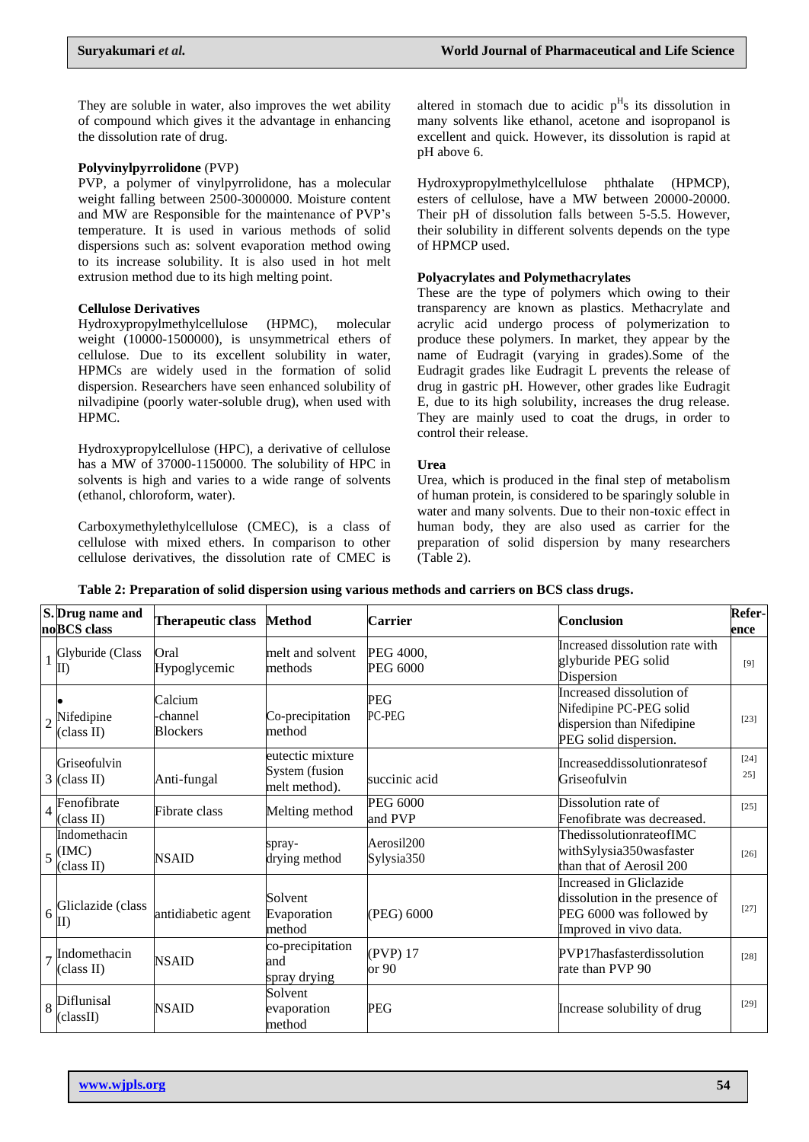They are soluble in water, also improves the wet ability of compound which gives it the advantage in enhancing the dissolution rate of drug.

## **Polyvinylpyrrolidone** (PVP)

PVP, a polymer of vinylpyrrolidone, has a molecular weight falling between 2500-3000000. Moisture content and MW are Responsible for the maintenance of PVP's temperature. It is used in various methods of solid dispersions such as: solvent evaporation method owing to its increase solubility. It is also used in hot melt extrusion method due to its high melting point.

## **Cellulose Derivatives**

Hydroxypropylmethylcellulose (HPMC), molecular weight (10000-1500000), is unsymmetrical ethers of cellulose. Due to its excellent solubility in water, HPMCs are widely used in the formation of solid dispersion. Researchers have seen enhanced solubility of nilvadipine (poorly water-soluble drug), when used with HPMC.

Hydroxypropylcellulose (HPC), a derivative of cellulose has a MW of 37000-1150000. The solubility of HPC in solvents is high and varies to a wide range of solvents (ethanol, chloroform, water).

Carboxymethylethylcellulose (CMEC), is a class of cellulose with mixed ethers. In comparison to other cellulose derivatives, the dissolution rate of CMEC is

altered in stomach due to acidic  $p<sup>H</sup>s$  its dissolution in many solvents like ethanol, acetone and isopropanol is excellent and quick. However, its dissolution is rapid at pH above 6.

Hydroxypropylmethylcellulose phthalate (HPMCP), esters of cellulose, have a MW between 20000-20000. Their pH of dissolution falls between 5-5.5. However, their solubility in different solvents depends on the type of HPMCP used.

## **Polyacrylates and Polymethacrylates**

These are the type of polymers which owing to their transparency are known as plastics. Methacrylate and acrylic acid undergo process of polymerization to produce these polymers. In market, they appear by the name of Eudragit (varying in grades).Some of the Eudragit grades like Eudragit L prevents the release of drug in gastric pH. However, other grades like Eudragit E, due to its high solubility, increases the drug release. They are mainly used to coat the drugs, in order to control their release.

## **Urea**

Urea, which is produced in the final step of metabolism of human protein, is considered to be sparingly soluble in water and many solvents. Due to their non-toxic effect in human body, they are also used as carrier for the preparation of solid dispersion by many researchers (Table 2).

|                | S. Drug name and<br>noBCS class                       | Therapeutic class                      | <b>Method</b>                                       | <b>Carrier</b>             | <b>Conclusion</b>                                                                                               | Refer-<br>ence   |
|----------------|-------------------------------------------------------|----------------------------------------|-----------------------------------------------------|----------------------------|-----------------------------------------------------------------------------------------------------------------|------------------|
|                | Glyburide (Class<br>$\mathbf{I}$                      | Oral<br>Hypoglycemic                   | melt and solvent<br>methods                         | PEG 4000,<br>PEG 6000      | Increased dissolution rate with<br>glyburide PEG solid<br>Dispersion                                            | [9]              |
|                | Nifedipine<br>(class II)                              | Calcium<br>-channel<br><b>Blockers</b> | Co-precipitation<br>method                          | <b>PEG</b><br>PC-PEG       | Increased dissolution of<br>Nifedipine PC-PEG solid<br>dispersion than Nifedipine<br>PEG solid dispersion.      | $[23]$           |
|                | Griseofulvin<br>$3$ (class II)                        | Anti-fungal                            | eutectic mixture<br>System (fusion<br>melt method). | succinic acid              | Increaseddissolutionratesof<br>Griseofulvin                                                                     | $[24]$<br>$25$ ] |
| 4              | Fenofibrate<br>(class II)                             | Fibrate class                          | Melting method                                      | <b>PEG 6000</b><br>and PVP | Dissolution rate of<br>Fenofibrate was decreased.                                                               | [25]             |
|                | Indomethacin<br>$\frac{1}{5}$ (IMC)<br>(class II)     | <b>NSAID</b>                           | spray-<br>drying method                             | Aerosil200<br>Sylysia350   | ThedissolutionrateofIMC<br>withSylysia350wasfaster<br>than that of Aerosil 200                                  | $[26]$           |
|                | $6\frac{\text{Gliclazide}}{\text{G}}$<br>$\mathbf{I}$ | antidiabetic agent                     | Solvent<br>Evaporation<br>method                    | (PEG) 6000                 | Increased in Gliclazide<br>dissolution in the presence of<br>PEG 6000 was followed by<br>Improved in vivo data. | $[27]$           |
| $\overline{7}$ | Indomethacin<br>(class II)                            | <b>NSAID</b>                           | co-precipitation<br>and<br>spray drying             | (PVP) 17<br>or 90          | PVP17hasfasterdissolution<br>rate than PVP 90                                                                   | $[28]$           |
|                | $\frac{1}{8}$ Diflunisal<br>(classII)                 | <b>NSAID</b>                           | Solvent<br>evaporation<br>method                    | <b>PEG</b>                 | Increase solubility of drug                                                                                     | $[29]$           |

**Table 2: Preparation of solid dispersion using various methods and carriers on BCS class drugs.**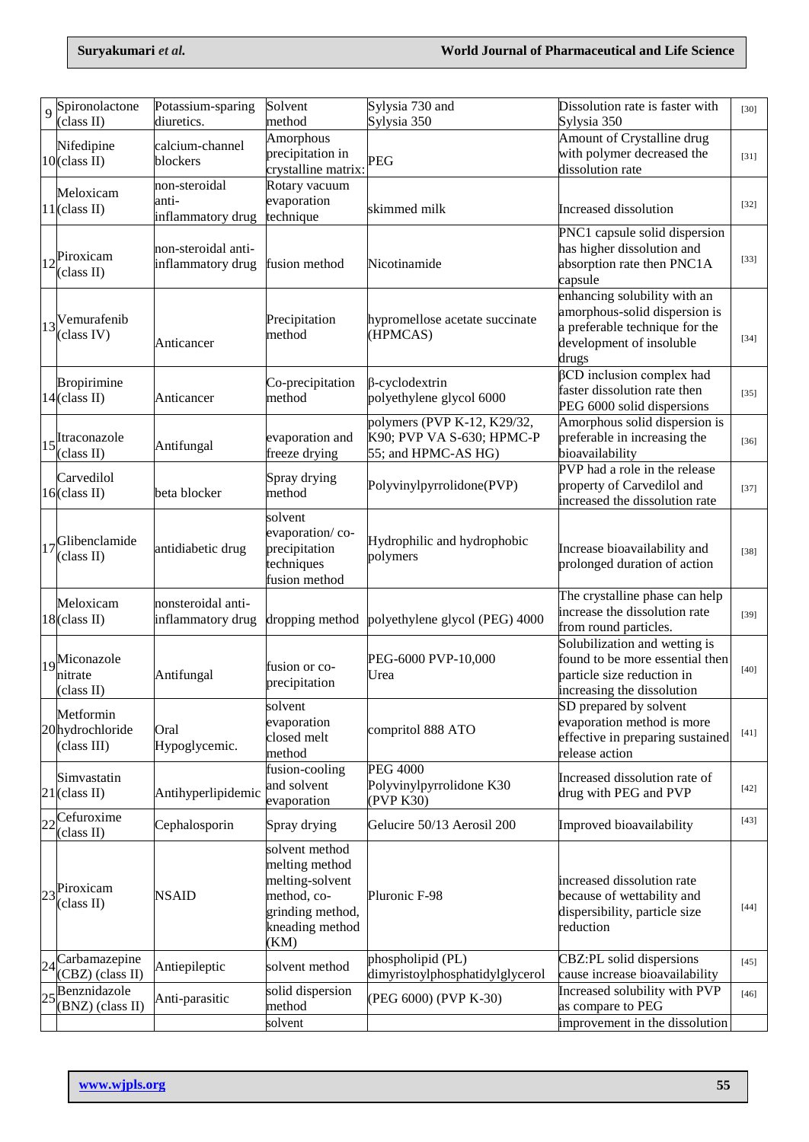| $\overline{Q}$ | Spironolactone<br>(class II)                      | Potassium-sparing<br>diuretics.             | Solvent<br>method                                                                                                 | Sylysia 730 and<br>Sylysia 350                                                  | Dissolution rate is faster with<br>Sylysia 350                                                                                       | $[30]$ |
|----------------|---------------------------------------------------|---------------------------------------------|-------------------------------------------------------------------------------------------------------------------|---------------------------------------------------------------------------------|--------------------------------------------------------------------------------------------------------------------------------------|--------|
|                | Nifedipine<br>$10$ (class II)                     | calcium-channel<br>blockers                 | Amorphous<br>precipitation in<br>crystalline matrix:                                                              | <b>PEG</b>                                                                      | Amount of Crystalline drug<br>with polymer decreased the<br>dissolution rate                                                         | $[31]$ |
|                | Meloxicam<br>$11$ (class II)                      | non-steroidal<br>anti-<br>inflammatory drug | Rotary vacuum<br>evaporation<br>technique                                                                         | skimmed milk                                                                    | Increased dissolution                                                                                                                | $[32]$ |
|                | $12$ <sup>Piroxicam</sup><br>(class II)           | non-steroidal anti-<br>inflammatory drug    | fusion method                                                                                                     | Nicotinamide                                                                    | PNC1 capsule solid dispersion<br>has higher dissolution and<br>absorption rate then PNC1A<br>capsule                                 | $[33]$ |
|                | $13$ <sup>V</sup> emurafenib<br>(class IV)        | Anticancer                                  | Precipitation<br>method                                                                                           | hypromellose acetate succinate<br>(HPMCAS)                                      | enhancing solubility with an<br>amorphous-solid dispersion is<br>a preferable technique for the<br>development of insoluble<br>drugs | $[34]$ |
|                | <b>Bropirimine</b><br>$14$ (class II)             | Anticancer                                  | Co-precipitation<br>method                                                                                        | $\beta$ -cyclodextrin<br>polyethylene glycol 6000                               | $\beta$ CD inclusion complex had<br>faster dissolution rate then<br>PEG 6000 solid dispersions                                       | $[35]$ |
|                | $15$ <sup>Itraconazole</sup><br>(class II)        | Antifungal                                  | evaporation and<br>freeze drying                                                                                  | polymers (PVP K-12, K29/32,<br>K90; PVP VA S-630; HPMC-P<br>55; and HPMC-AS HG) | Amorphous solid dispersion is<br>preferable in increasing the<br>bioavailability                                                     | $[36]$ |
|                | Carvedilol<br>$16$ (class II)                     | beta blocker                                | Spray drying<br>method                                                                                            | Polyvinylpyrrolidone(PVP)                                                       | PVP had a role in the release<br>property of Carvedilol and<br>increased the dissolution rate                                        | $[37]$ |
|                | $17$ Glibenclamide<br>(class II)                  | antidiabetic drug                           | solvent<br>evaporation/co-<br>precipitation<br>techniques<br>fusion method                                        | Hydrophilic and hydrophobic<br>polymers                                         | Increase bioavailability and<br>prolonged duration of action                                                                         | $[38]$ |
|                | Meloxicam<br>$18$ (class II)                      | nonsteroidal anti-<br>inflammatory drug     | dropping method                                                                                                   | polyethylene glycol (PEG) 4000                                                  | The crystalline phase can help<br>increase the dissolution rate<br>from round particles.                                             | $[39]$ |
|                | 19 <sup>Miconazole</sup><br>nitrate<br>(class II) | Antifungal                                  | fusion or co-<br>precipitation                                                                                    | PEG-6000 PVP-10,000<br>Urea                                                     | Solubilization and wetting is<br>found to be more essential then<br>particle size reduction in<br>increasing the dissolution         | $[40]$ |
|                | Metformin<br>20hydrochloride<br>(class III)       | Oral<br>Hypoglycemic.                       | solvent<br>evaporation<br>closed melt<br>method                                                                   | compritol 888 ATO                                                               | SD prepared by solvent<br>evaporation method is more<br>effective in preparing sustained<br>release action                           | $[41]$ |
|                | Simvastatin<br>$21$ (class II)                    | Antihyperlipidemic                          | fusion-cooling<br>and solvent<br>evaporation                                                                      | <b>PEG 4000</b><br>Polyvinylpyrrolidone K30<br>(PVP K30)                        | Increased dissolution rate of<br>drug with PEG and PVP                                                                               | $[42]$ |
| 22             | Cefuroxime<br>(class II)                          | Cephalosporin                               | Spray drying                                                                                                      | Gelucire 50/13 Aerosil 200                                                      | Improved bioavailability                                                                                                             | $[43]$ |
|                | $23$ <sup>Piroxicam</sup><br>(class II)           | <b>NSAID</b>                                | solvent method<br>melting method<br>melting-solvent<br>method, co-<br>grinding method,<br>kneading method<br>(KM) | Pluronic F-98                                                                   | increased dissolution rate<br>because of wettability and<br>dispersibility, particle size<br>reduction                               | [44]   |
| 24             | Carbamazepine<br>(CBZ) (class II)                 | Antiepileptic                               | solvent method                                                                                                    | phospholipid (PL)<br>dimyristoylphosphatidylglycerol                            | CBZ:PL solid dispersions<br>cause increase bioavailability                                                                           | $[45]$ |
| 25             | Benznidazole<br>(BNZ) (class II)                  | Anti-parasitic                              | solid dispersion<br>method                                                                                        | (PEG 6000) (PVP K-30)                                                           | Increased solubility with PVP<br>as compare to PEG                                                                                   | $[46]$ |
|                |                                                   |                                             | solvent                                                                                                           |                                                                                 | improvement in the dissolution                                                                                                       |        |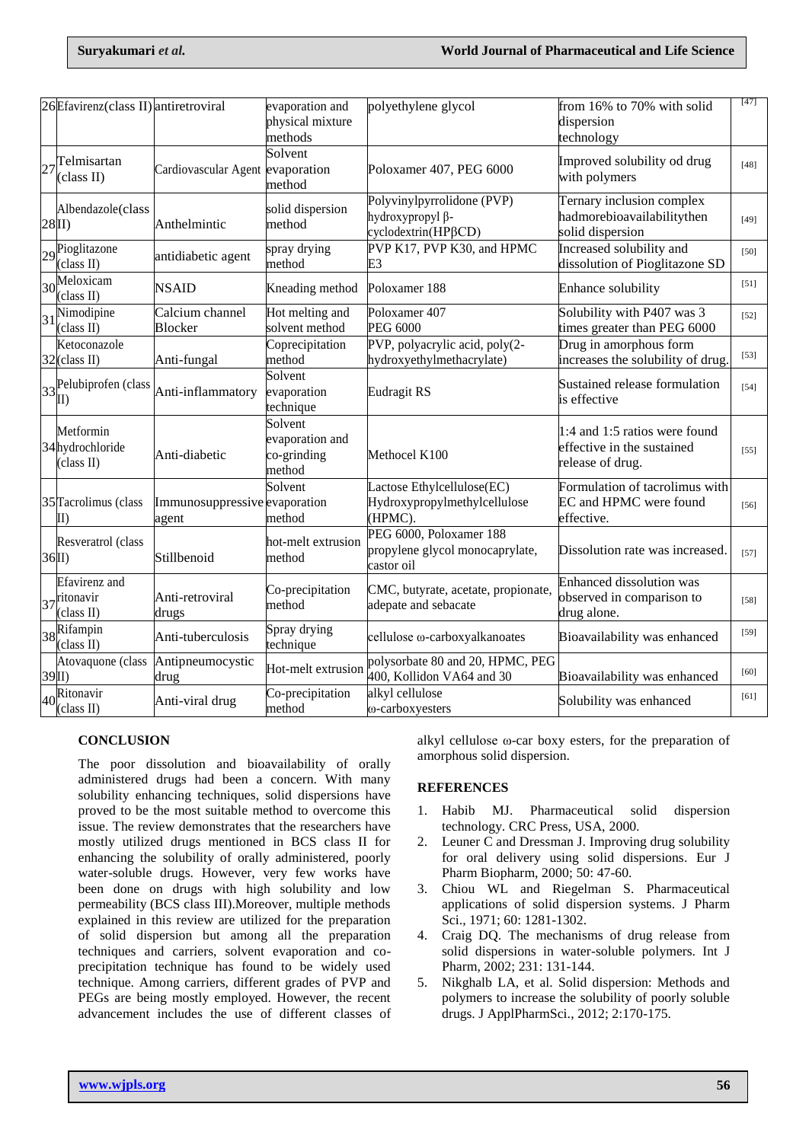|                | 26 Efavirenz (class II) antiretroviral                                    |                                        | evaporation and<br>physical mixture<br>methods      | polyethylene glycol                                                      | from 16% to 70% with solid<br>dispersion<br>technology                          | [47]              |
|----------------|---------------------------------------------------------------------------|----------------------------------------|-----------------------------------------------------|--------------------------------------------------------------------------|---------------------------------------------------------------------------------|-------------------|
|                | $27$ <sup>Telmisartan</sup><br>(class II)                                 | Cardiovascular Agent evaporation       | Solvent<br>method                                   | Poloxamer 407, PEG 6000                                                  | Improved solubility od drug<br>with polymers                                    | [48]              |
| 28II)          | Albendazole(class                                                         | Anthelmintic                           | solid dispersion<br>method                          | Polyvinylpyrrolidone (PVP)<br>hydroxypropyl β-<br>cyclodextrin(HPβCD)    | Ternary inclusion complex<br>hadmorebioavailabilitythen<br>solid dispersion     | [49]              |
|                | $29$ <sup>Pioglitazone</sup><br>(class II)                                | antidiabetic agent                     | spray drying<br>method                              | PVP K17, PVP K30, and HPMC<br>E3                                         | Increased solubility and<br>dissolution of Pioglitazone SD                      | [50]              |
|                | $30\frac{\text{Meloxicam}}{30\frac{\text{Meloxicam}}{1.1}}$<br>(class II) | <b>NSAID</b>                           | Kneading method                                     | Poloxamer 188                                                            | Enhance solubility                                                              | $\left[51\right]$ |
|                | $31$ <sup>Nimodipine</sup><br>(class II)                                  | Calcium channel<br>Blocker             | Hot melting and<br>solvent method                   | Poloxamer 407<br><b>PEG 6000</b>                                         | Solubility with P407 was 3<br>times greater than PEG 6000                       | $[52]$            |
|                | Ketoconazole<br>32(class II)                                              | Anti-fungal                            | Coprecipitation<br>method                           | PVP, polyacrylic acid, poly(2-<br>hydroxyethylmethacrylate)              | Drug in amorphous form<br>increases the solubility of drug.                     | $[53]$            |
|                | $33\frac{\text{Pelubiprofen}}{\text{II}}$                                 | Anti-inflammatory                      | Solvent<br>evaporation<br>technique                 | <b>Eudragit RS</b>                                                       | Sustained release formulation<br>is effective                                   | [54]              |
|                | Metformin<br>34hydrochloride<br>(class II)                                | Anti-diabetic                          | Solvent<br>evaporation and<br>co-grinding<br>method | Methocel K100                                                            | 1:4 and 1:5 ratios were found<br>effective in the sustained<br>release of drug. | $\left[55\right]$ |
|                | 35 Tacrolimus (class<br>$\mathbf{I}(\mathbf{I})$                          | Immunosuppressive evaporation<br>agent | Solvent<br>method                                   | Lactose Ethylcellulose(EC)<br>Hydroxypropylmethylcellulose<br>(HPMC).    | Formulation of tacrolimus with<br>EC and HPMC were found<br>effective.          | [56]              |
| $36$ II)       | Resveratrol (class                                                        | Stillbenoid                            | hot-melt extrusion<br>method                        | PEG 6000, Poloxamer 188<br>propylene glycol monocaprylate,<br>castor oil | Dissolution rate was increased.                                                 | [57]              |
|                | Efavirenz and<br>$37$ <sup>ritonavir</sup><br>(class II)                  | Anti-retroviral<br>drugs               | Co-precipitation<br>method                          | CMC, butyrate, acetate, propionate,<br>adepate and sebacate              | <b>Enhanced dissolution was</b><br>observed in comparison to<br>drug alone.     | [58]              |
|                | 38Rifampin<br>(class II)                                                  | Anti-tuberculosis                      | Spray drying<br>technique                           | cellulose @-carboxyalkanoates                                            | Bioavailability was enhanced                                                    | [59]              |
| $\frac{39}{1}$ | Atovaquone (class                                                         | Antipneumocystic<br>drug               | Hot-melt extrusion                                  | polysorbate 80 and 20, HPMC, PEG<br>400, Kollidon VA64 and 30            | Bioavailability was enhanced                                                    | $[60]$            |
|                | 40 <sup>Ritonavir</sup><br>(class II)                                     | Anti-viral drug                        | Co-precipitation<br>method                          | alkyl cellulose<br>@-carboxyesters                                       | Solubility was enhanced                                                         | $[61]$            |

## **CONCLUSION**

The poor dissolution and bioavailability of orally administered drugs had been a concern. With many solubility enhancing techniques, solid dispersions have proved to be the most suitable method to overcome this issue. The review demonstrates that the researchers have mostly utilized drugs mentioned in BCS class II for enhancing the solubility of orally administered, poorly water-soluble drugs. However, very few works have been done on drugs with high solubility and low permeability (BCS class III).Moreover, multiple methods explained in this review are utilized for the preparation of solid dispersion but among all the preparation techniques and carriers, solvent evaporation and coprecipitation technique has found to be widely used technique. Among carriers, different grades of PVP and PEGs are being mostly employed. However, the recent advancement includes the use of different classes of alkyl cellulose ω-car boxy esters, for the preparation of amorphous solid dispersion.

## **REFERENCES**

- 1. Habib MJ. Pharmaceutical solid dispersion technology. CRC Press, USA, 2000.
- 2. Leuner C and Dressman J. Improving drug solubility for oral delivery using solid dispersions. Eur J Pharm Biopharm, 2000; 50: 47-60.
- 3. Chiou WL and Riegelman S. Pharmaceutical applications of solid dispersion systems. J Pharm Sci., 1971; 60: 1281-1302.
- 4. Craig DQ. The mechanisms of drug release from solid dispersions in water-soluble polymers. Int J Pharm, 2002; 231: 131-144.
- 5. Nikghalb LA, et al. Solid dispersion: Methods and polymers to increase the solubility of poorly soluble drugs. J ApplPharmSci., 2012; 2:170-175.